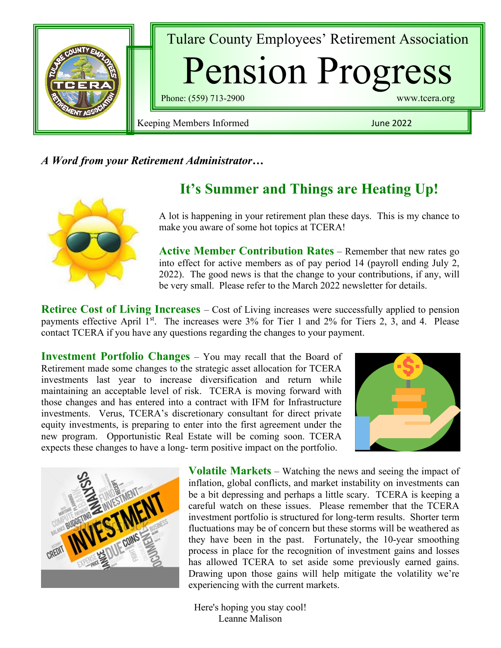

### *A Word from your Retirement Administrator…*



# **It's Summer and Things are Heating Up!**

A lot is happening in your retirement plan these days. This is my chance to make you aware of some hot topics at TCERA!

**Active Member Contribution Rates** – Remember that new rates go into effect for active members as of pay period 14 (payroll ending July 2, 2022). The good news is that the change to your contributions, if any, will be very small. Please refer to the March 2022 newsletter for details.

**Retiree Cost of Living Increases** – Cost of Living increases were successfully applied to pension payments effective April 1<sup>st</sup>. The increases were 3% for Tier 1 and 2% for Tiers 2, 3, and 4. Please contact TCERA if you have any questions regarding the changes to your payment.

**Investment Portfolio Changes** – You may recall that the Board of Retirement made some changes to the strategic asset allocation for TCERA investments last year to increase diversification and return while maintaining an acceptable level of risk. TCERA is moving forward with those changes and has entered into a contract with IFM for Infrastructure investments. Verus, TCERA's discretionary consultant for direct private equity investments, is preparing to enter into the first agreement under the new program. Opportunistic Real Estate will be coming soon. TCERA expects these changes to have a long- term positive impact on the portfolio.





**Volatile Markets** – Watching the news and seeing the impact of inflation, global conflicts, and market instability on investments can be a bit depressing and perhaps a little scary. TCERA is keeping a careful watch on these issues. Please remember that the TCERA investment portfolio is structured for long-term results. Shorter term fluctuations may be of concern but these storms will be weathered as they have been in the past. Fortunately, the 10-year smoothing process in place for the recognition of investment gains and losses has allowed TCERA to set aside some previously earned gains. Drawing upon those gains will help mitigate the volatility we're experiencing with the current markets.

Here's hoping you stay cool! Leanne Malison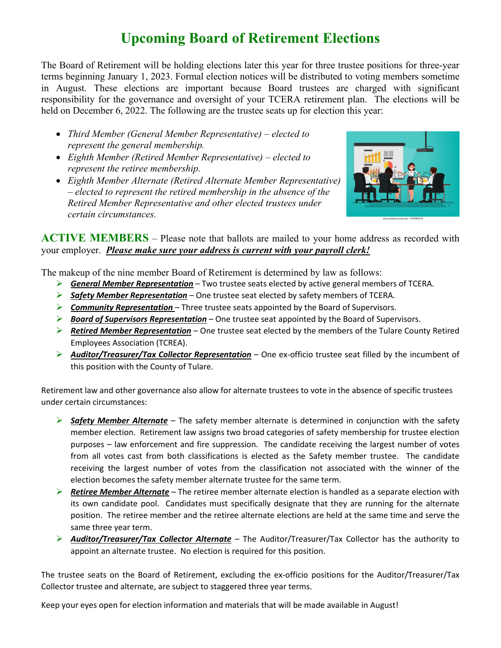# **Upcoming Board of Retirement Elections**

The Board of Retirement will be holding elections later this year for three trustee positions for three-year terms beginning January 1, 2023. Formal election notices will be distributed to voting members sometime in August. These elections are important because Board trustees are charged with significant responsibility for the governance and oversight of your TCERA retirement plan. The elections will be held on December 6, 2022. The following are the trustee seats up for election this year:

- *Third Member (General Member Representative) – elected to represent the general membership.*
- *Eighth Member (Retired Member Representative) – elected to represent the retiree membership.*
- *Eighth Member Alternate (Retired Alternate Member Representative) – elected to represent the retired membership in the absence of the Retired Member Representative and other elected trustees under certain circumstances.*



**ACTIVE MEMBERS** – Please note that ballots are mailed to your home address as recorded with your employer. *Please make sure your address is current with your payroll clerk!*

The makeup of the nine member Board of Retirement is determined by law as follows:

- *General Member Representation* Two trustee seats elected by active general members of TCERA.
- *Safety Member Representation* One trustee seat elected by safety members of TCERA.
- *Community Representation*  Three trustee seats appointed by the Board of Supervisors.
- *Board of Supervisors Representation* One trustee seat appointed by the Board of Supervisors.
- *Retired Member Representation* One trustee seat elected by the members of the Tulare County Retired Employees Association (TCREA).
- *Auditor/Treasurer/Tax Collector Representation* One ex-officio trustee seat filled by the incumbent of this position with the County of Tulare.

Retirement law and other governance also allow for alternate trustees to vote in the absence of specific trustees under certain circumstances:

- *Safety Member Alternate* The safety member alternate is determined in conjunction with the safety member election. Retirement law assigns two broad categories of safety membership for trustee election purposes – law enforcement and fire suppression. The candidate receiving the largest number of votes from all votes cast from both classifications is elected as the Safety member trustee. The candidate receiving the largest number of votes from the classification not associated with the winner of the election becomes the safety member alternate trustee for the same term.
- *Retiree Member Alternate* The retiree member alternate election is handled as a separate election with its own candidate pool. Candidates must specifically designate that they are running for the alternate position. The retiree member and the retiree alternate elections are held at the same time and serve the same three year term.
- *Auditor/Treasurer/Tax Collector Alternate* The Auditor/Treasurer/Tax Collector has the authority to appoint an alternate trustee. No election is required for this position.

The trustee seats on the Board of Retirement, excluding the ex-officio positions for the Auditor/Treasurer/Tax Collector trustee and alternate, are subject to staggered three year terms.

Keep your eyes open for election information and materials that will be made available in August!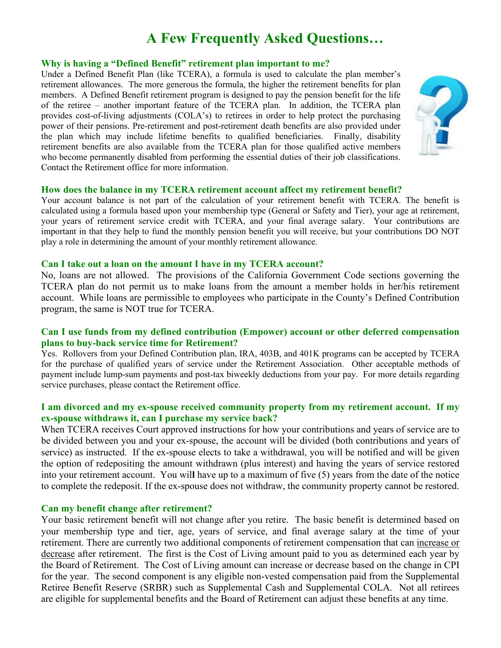# **A Few Frequently Asked Questions…**

### **Why is having a "Defined Benefit" retirement plan important to me?**

Under a Defined Benefit Plan (like TCERA), a formula is used to calculate the plan member's retirement allowances. The more generous the formula, the higher the retirement benefits for plan members. A Defined Benefit retirement program is designed to pay the pension benefit for the life of the retiree – another important feature of the TCERA plan. In addition, the TCERA plan provides cost-of-living adjustments (COLA's) to retirees in order to help protect the purchasing power of their pensions. Pre-retirement and post-retirement death benefits are also provided under the plan which may include lifetime benefits to qualified beneficiaries. Finally, disability retirement benefits are also available from the TCERA plan for those qualified active members who become permanently disabled from performing the essential duties of their job classifications. Contact the Retirement office for more information.



#### **How does the balance in my TCERA retirement account affect my retirement benefit?**

Your account balance is not part of the calculation of your retirement benefit with TCERA. The benefit is calculated using a formula based upon your membership type (General or Safety and Tier), your age at retirement, your years of retirement service credit with TCERA, and your final average salary. Your contributions are important in that they help to fund the monthly pension benefit you will receive, but your contributions DO NOT play a role in determining the amount of your monthly retirement allowance.

#### **Can I take out a loan on the amount I have in my TCERA account?**

No, loans are not allowed. The provisions of the California Government Code sections governing the TCERA plan do not permit us to make loans from the amount a member holds in her/his retirement account. While loans are permissible to employees who participate in the County's Defined Contribution program, the same is NOT true for TCERA.

### **Can I use funds from my defined contribution (Empower) account or other deferred compensation plans to buy-back service time for Retirement?**

Yes. Rollovers from your Defined Contribution plan, IRA, 403B, and 401K programs can be accepted by TCERA for the purchase of qualified years of service under the Retirement Association. Other acceptable methods of payment include lump-sum payments and post-tax biweekly deductions from your pay. For more details regarding service purchases, please contact the Retirement office.

### **I am divorced and my ex-spouse received community property from my retirement account. If my ex-spouse withdraws it, can I purchase my service back?**

When TCERA receives Court approved instructions for how your contributions and years of service are to be divided between you and your ex-spouse, the account will be divided (both contributions and years of service) as instructed. If the ex-spouse elects to take a withdrawal, you will be notified and will be given the option of redepositing the amount withdrawn (plus interest) and having the years of service restored into your retirement account. You wil**l** have up to a maximum of five (5) years from the date of the notice to complete the redeposit. If the ex-spouse does not withdraw, the community property cannot be restored.

### **Can my benefit change after retirement?**

Your basic retirement benefit will not change after you retire. The basic benefit is determined based on your membership type and tier, age, years of service, and final average salary at the time of your retirement. There are currently two additional components of retirement compensation that can increase or decrease after retirement. The first is the Cost of Living amount paid to you as determined each year by the Board of Retirement. The Cost of Living amount can increase or decrease based on the change in CPI for the year. The second component is any eligible non-vested compensation paid from the Supplemental Retiree Benefit Reserve (SRBR) such as Supplemental Cash and Supplemental COLA. Not all retirees are eligible for supplemental benefits and the Board of Retirement can adjust these benefits at any time.